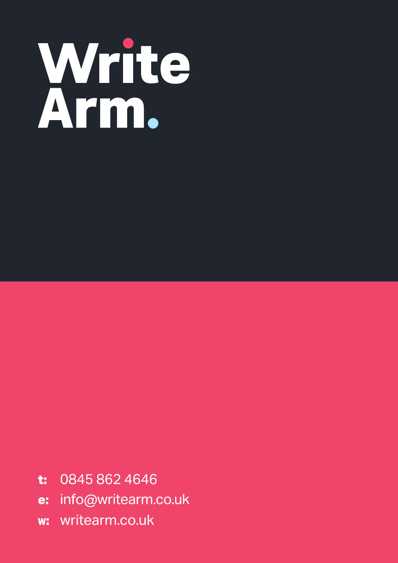

- 0845 862 4646 t:
- info@writearm.co.uk  $e$ :
- writearm.co.uk  $W_{-}$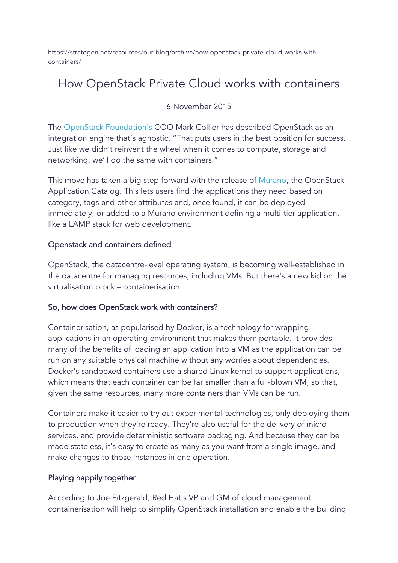https://stratogen.net/resources/our-blog/archive/how-openstack-private-cloud-works-withcontainers/

## How OpenStack Private Cloud works with containers

### 6 November 2015

The OpenStack Foundation's COO Mark Collier has described OpenStack as an integration engine that's agnostic. "That puts users in the best position for success. Just like we didn't reinvent the wheel when it comes to compute, storage and networking, we'll do the same with containers."

This move has taken a big step forward with the release of Murano, the OpenStack Application Catalog. This lets users find the applications they need based on category, tags and other attributes and, once found, it can be deployed immediately, or added to a Murano environment defining a multi-tier application, like a LAMP stack for web development.

### Openstack and containers defined

OpenStack, the datacentre-level operating system, is becoming well-established in the datacentre for managing resources, including VMs. But there's a new kid on the virtualisation block – containerisation.

### So, how does OpenStack work with containers?

Containerisation, as popularised by Docker, is a technology for wrapping applications in an operating environment that makes them portable. It provides many of the benefits of loading an application into a VM as the application can be run on any suitable physical machine without any worries about dependencies. Docker's sandboxed containers use a shared Linux kernel to support applications, which means that each container can be far smaller than a full-blown VM, so that, given the same resources, many more containers than VMs can be run.

Containers make it easier to try out experimental technologies, only deploying them to production when they're ready. They're also useful for the delivery of microservices, and provide deterministic software packaging. And because they can be made stateless, it's easy to create as many as you want from a single image, and make changes to those instances in one operation.

### Playing happily together

According to Joe Fitzgerald, Red Hat's VP and GM of cloud management, containerisation will help to simplify OpenStack installation and enable the building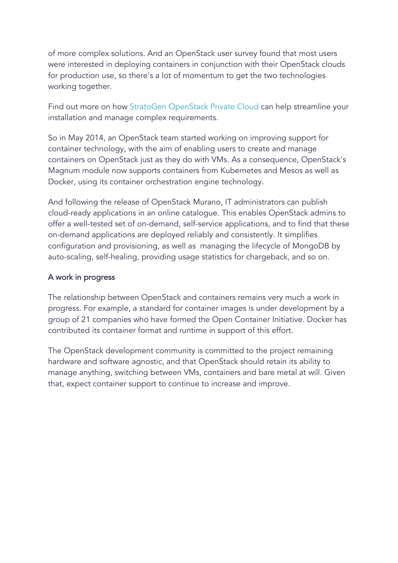of more complex solutions. And an OpenStack user survey found that most users were interested in deploying containers in conjunction with their OpenStack clouds for production use, so there's a lot of momentum to get the two technologies working together.

Find out more on how StratoGen OpenStack Private Cloud can help streamline your installation and manage complex requirements.

So in May 2014, an OpenStack team started working on improving support for container technology, with the aim of enabling users to create and manage containers on OpenStack just as they do with VMs. As a consequence, OpenStack's Magnum module now supports containers from Kubernetes and Mesos as well as Docker, using its container orchestration engine technology.

And following the release of OpenStack Murano, IT administrators can publish cloud-ready applications in an online catalogue. This enables OpenStack admins to offer a well-tested set of on-demand, self-service applications, and to find that these on-demand applications are deployed reliably and consistently. It simplifies configuration and provisioning, as well as managing the lifecycle of MongoDB by auto-scaling, self-healing, providing usage statistics for chargeback, and so on.

### A work in progress

The relationship between OpenStack and containers remains very much a work in progress. For example, a standard for container images is under development by a group of 21 companies who have formed the Open Container Initiative. Docker has contributed its container format and runtime in support of this effort.

The OpenStack development community is committed to the project remaining hardware and software agnostic, and that OpenStack should retain its ability to manage anything, switching between VMs, containers and bare metal at will. Given that, expect container support to continue to increase and improve.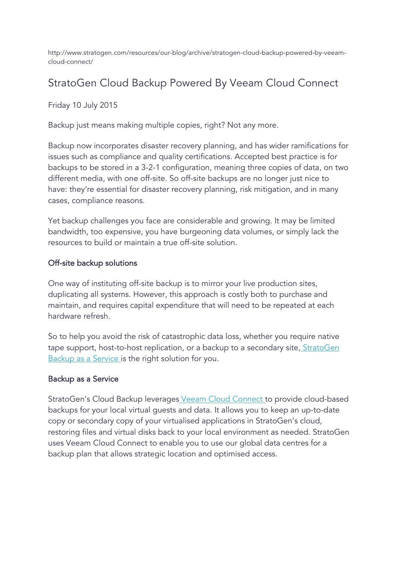http://www.stratogen.com/resources/our-blog/archive/stratogen-cloud-backup-powered-by-veeamcloud-connect/

### StratoGen Cloud Backup Powered By Veeam Cloud Connect

Friday 10 July 2015

Backup just means making multiple copies, right? Not any more.

Backup now incorporates disaster recovery planning, and has wider ramifications for issues such as compliance and quality certifications. Accepted best practice is for backups to be stored in a 3-2-1 configuration, meaning three copies of data, on two different media, with one off-site. So off-site backups are no longer just nice to have: they're essential for disaster recovery planning, risk mitigation, and in many cases, compliance reasons.

Yet backup challenges you face are considerable and growing. It may be limited bandwidth, too expensive, you have burgeoning data volumes, or simply lack the resources to build or maintain a true off-site solution.

### Off-site backup solutions

One way of instituting off-site backup is to mirror your live production sites, duplicating all systems. However, this approach is costly both to purchase and maintain, and requires capital expenditure that will need to be repeated at each hardware refresh.

So to help you avoid the risk of catastrophic data loss, whether you require native tape support, host-to-host replication, or a backup to a secondary site, StratoGen Backup as a Service is the right solution for you.

### Backup as a Service

StratoGen's Cloud Backup leverages Veeam Cloud Connect to provide cloud-based backups for your local virtual guests and data. It allows you to keep an up-to-date copy or secondary copy of your virtualised applications in StratoGen's cloud, restoring files and virtual disks back to your local environment as needed. StratoGen uses Veeam Cloud Connect to enable you to use our global data centres for a backup plan that allows strategic location and optimised access.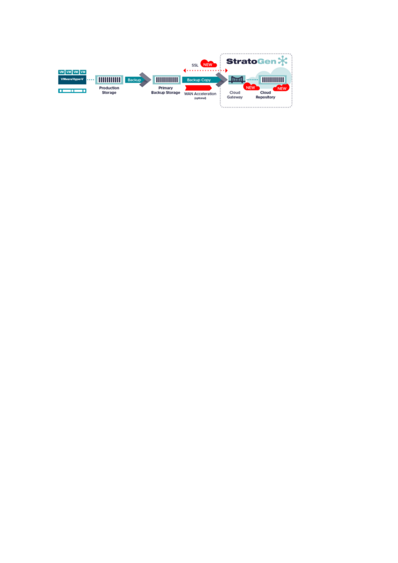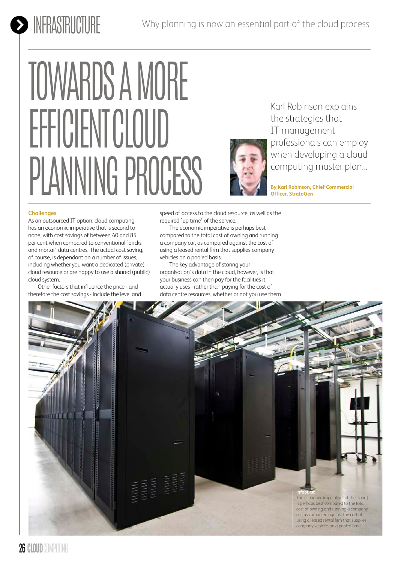# **INFRASTRUCTURE**

# TOWARDS A MORE EFFICIENT CLOUD PLANNING PROCESS



Karl Robinson explains the strategies that IT management professionals can employ when developing a cloud computing master plan...

**By Karl Robinson, Chief Commercial Officer, StratoGen**

### **Challenges**

As an outsourced IT option, cloud computing has an economic imperative that is second to none, with cost savings of between 40 and 85 per cent when compared to conventional `bricks and mortar' data centres. The actual cost saving, of course, is dependant on a number of issues, including whether you want a dedicated (private) cloud resource or are happy to use a shared (public) cloud system.

Other factors that influence the price - and therefore the cost savings - include the level and speed of access to the cloud resource, as well as the required `up time' of the service.

The economic imperative is perhaps best compared to the total cost of owning and running a company car, as compared against the cost of using a leased rental firm that supplies company vehicles on a pooled basis.

The key advantage of storing your organisation's data in the cloud, however, is that your business can then pay for the facilities it actually uses - rather than paying for the cost of data centre resources, whether or not you use them

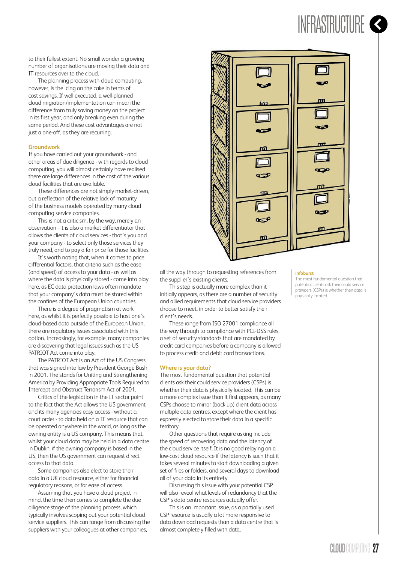## INFRASTRUCTURE

to their fullest extent. No small wonder a growing number of organisations are moving their data and IT resources over to the cloud.

The planning process with cloud computing, however, is the icing on the cake in terms of cost savings. If well executed, a well-planned cloud migration/implementation can mean the difference from truly saving money on the project in its first year, and only breaking even during the same period. And these cost advantages are not just a one-off, as they are recurring.

### **Groundwork**

If you have carried out your groundwork - and other areas of due diligence - with regards to cloud computing, you will almost certainly have realised there are large differences in the cost of the various cloud facilities that are available.

These differences are not simply market-driven, but a reflection of the relative lack of maturity of the business models operated by many cloud computing service companies.

This is not a criticism, by the way, merely an observation - it is also a market differentiator that allows the clients of cloud services - that's you and your company - to select only those services they truly need, and to pay a fair price for those facilities.

It's worth noting that, when it comes to price differential factors, that criteria such as the ease (and speed) of access to your data - as well as where the data is physically stored - come into play here, as EC data protection laws often mandate that your company's data must be stored within the confines of the European Union countries.

There is a degree of pragmatism at work here, as whilst it is perfectly possible to host one's cloud-based data outside of the European Union, there are regulatory issues associated with this option. Increasingly, for example, many companies are discovering that legal issues such as the US PATRIOT Act come into play.

The PATRIOT Act is an Act of the US Congress that was signed into law by President George Bush in 2001. The stands for Uniting and Strengthening America by Providing Appropriate Tools Required to Intercept and Obstruct Terrorism Act of 2001.

Critics of the legislation in the IT sector point to the fact that the Act allows the US government and its many agencies easy access - without a court order - to data held on a IT resource that can be operated anywhere in the world, as long as the owning entity is a US company. This means that, whilst your cloud data may be held in a data centre in Dublin, if the owning company is based in the US, then the US government can request direct access to that data.

Some companies also elect to store their data in a UK cloud resource, either for financial regulatory reasons, or for ease of access.

Assuming that you have a cloud project in mind, the time then comes to complete the due diligence stage of the planning process, which typically involves scoping out your potential cloud service suppliers. This can range from discussing the suppliers with your colleagues at other companies,



all the way through to requesting references from the supplier's existing clients.

This step is actually more complex than it initially appears, as there are a number of security and allied requirements that cloud service providers choose to meet, in order to better satisfy their client's needs.

These range from ISO 27001 compliance all the way through to compliance with PCI-DSS rules, a set of security standards that are mandated by credit card companies before a company is allowed to process credit and debit card transactions.

### **Where is your data?**

The most fundamental question that potential clients ask their could service providers (CSPs) is whether their data is physically located. This can be a more complex issue than it first appears, as many CSPs choose to mirror (back up) client data across multiple data centres, except where the client has expressly elected to store their data in a specific territory.

Other questions that require asking include the speed of recovering data and the latency of the cloud service itself. It is no good relaying on a low-cost cloud resource if the latency is such that it takes several minutes to start downloading a given set of files or folders, and several days to download all of your data in its entirety.

Discussing this issue with your potential CSP will also reveal what levels of redundancy that the CSP's data centre resources actually offer.

This is an important issue, as a partially used CSP resource is usually a lot more responsive to data download requests than a data centre that is almost completely filled with data.

### **infoburst**

The most fundamental question that potential clients ask their could service providers (CSPs) is whether their data is physically located...